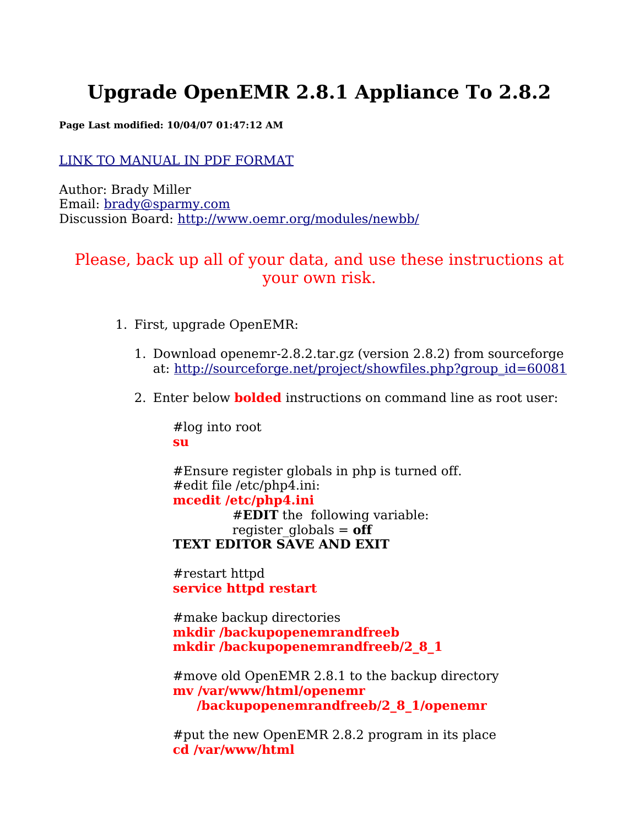# **Upgrade OpenEMR 2.8.1 Appliance To 2.8.2**

**Page Last modified: 10/04/07 01:47:12 AM**

#### LINK TO [MANUAL](http://www.bradymd.com/appliance/update1/OpenEMR2_8_1Upgrade2_8_2.pdf) IN PDF FORMAT

Author: Brady Miller Email: [brady@sparmy.com](mailto:brady@sparmy.com) Discussion Board: <http://www.oemr.org/modules/newbb/>

## Please, back up all of your data, and use these instructions at your own risk.

- 1. First, upgrade OpenEMR:
	- 1. Download openemr-2.8.2.tar.gz (version 2.8.2) from sourceforge at: [http://sourceforge.net/project/showfiles.php?group\\_id=60081](http://sourceforge.net/project/showfiles.php?group_id=60081)
	- 2. Enter below **bolded** instructions on command line as root user:

#log into root **su**

#Ensure register globals in php is turned off. #edit file /etc/php4.ini: **mcedit /etc/php4.ini** #**EDIT** the following variable: register  $q_0$ lobals =  $\textbf{off}$ **TEXT EDITOR SAVE AND EXIT**

#restart httpd **service httpd restart**

#make backup directories **mkdir /backupopenemrandfreeb mkdir /backupopenemrandfreeb/2\_8\_1**

#move old OpenEMR 2.8.1 to the backup directory **mv /var/www/html/openemr /backupopenemrandfreeb/2\_8\_1/openemr**

#put the new OpenEMR 2.8.2 program in its place **cd /var/www/html**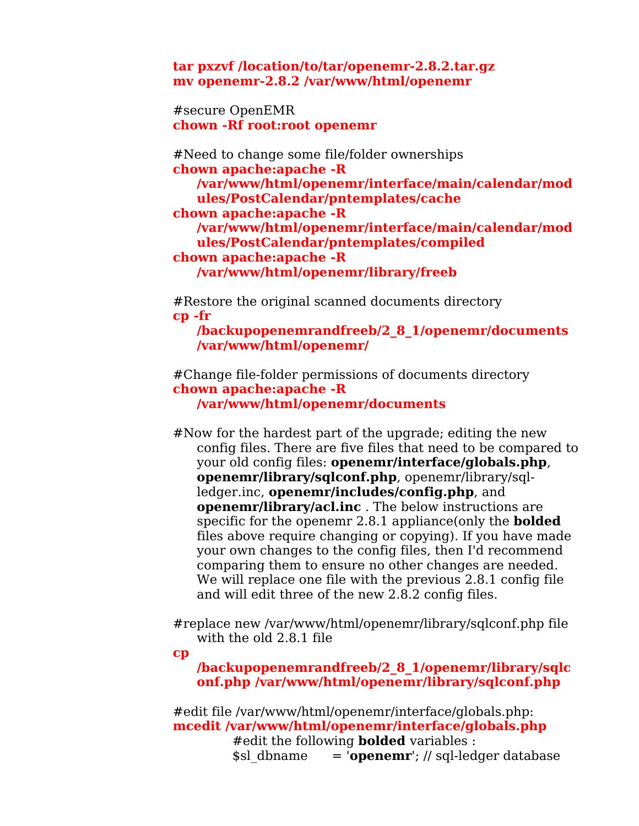**tar pxzvf /location/to/tar/openemr-2.8.2.tar.gz mv openemr-2.8.2 /var/www/html/openemr**

#secure OpenEMR **chown -Rf root:root openemr**

#Need to change some file/folder ownerships **chown apache:apache -R /var/www/html/openemr/interface/main/calendar/mod ules/PostCalendar/pntemplates/cache chown apache:apache -R /var/www/html/openemr/interface/main/calendar/mod ules/PostCalendar/pntemplates/compiled chown apache:apache -R /var/www/html/openemr/library/freeb**

#Restore the original scanned documents directory **cp -fr**

**/backupopenemrandfreeb/2\_8\_1/openemr/documents /var/www/html/openemr/**

#Change file-folder permissions of documents directory **chown apache:apache -R /var/www/html/openemr/documents**

#Now for the hardest part of the upgrade; editing the new config files. There are five files that need to be compared to your old config files: **openemr/interface/globals.php**, **openemr/library/sqlconf.php**, openemr/library/sqlledger.inc, **openemr/includes/config.php**, and **openemr/library/acl.inc** . The below instructions are specific for the openemr 2.8.1 appliance(only the **bolded** files above require changing or copying). If you have made your own changes to the config files, then I'd recommend comparing them to ensure no other changes are needed. We will replace one file with the previous 2.8.1 config file and will edit three of the new 2.8.2 config files.

#replace new /var/www/html/openemr/library/sqlconf.php file with the old 2.8.1 file

**cp**

**/backupopenemrandfreeb/2\_8\_1/openemr/library/sqlc onf.php /var/www/html/openemr/library/sqlconf.php**

#edit file /var/www/html/openemr/interface/globals.php: **mcedit /var/www/html/openemr/interface/globals.php** #edit the following **bolded** variables : \$sl\_dbname = '**openemr**'; // sql-ledger database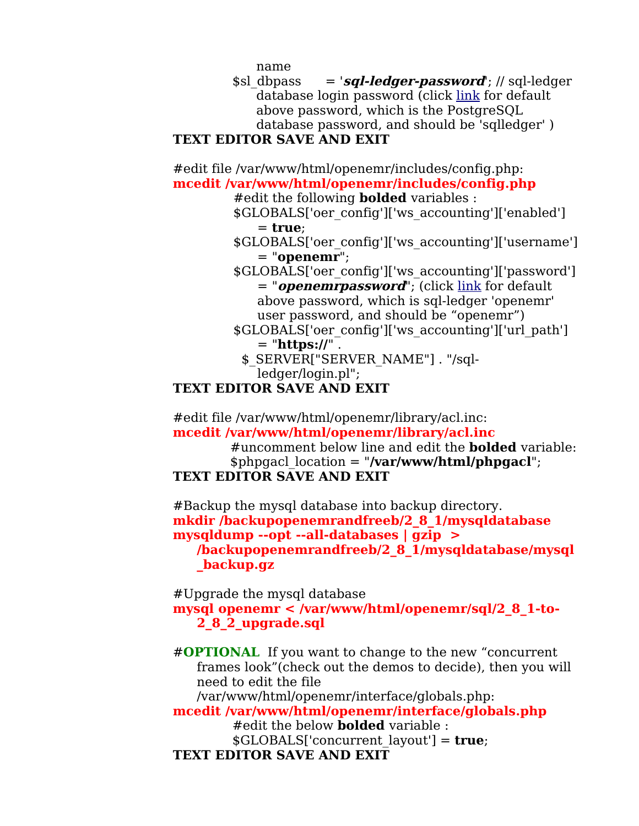<span id="page-2-1"></span>name

\$sl\_dbpass = '**sql-ledger-password**'; // sql-ledger database login password (click [link](#page-2-1) for default above password, which is the PostgreSQL database password, and should be 'sqlledger' )

#### **TEXT EDITOR SAVE AND EXIT**

#edit file /var/www/html/openemr/includes/config.php: **mcedit /var/www/html/openemr/includes/config.php**

#edit the following **bolded** variables :

\$GLOBALS['oer\_config']['ws\_accounting']['enabled'] = **true**;

\$GLOBALS['oer\_config']['ws\_accounting']['username'] = "**openemr**";

<span id="page-2-0"></span>\$GLOBALS['oer\_config']['ws\_accounting']['password'] = "*openemrpassword*"; (click <u>[link](#page-2-0)</u> for default above password, which is sql-ledger 'openemr' user password, and should be "openemr")

- \$GLOBALS['oer\_config']['ws\_accounting']['url\_path']  $=$  "**https://"**.
	- \$ SERVER["SERVER\_NAME"] . "/sql-
- ledger/login.pl";

#### **TEXT EDITOR SAVE AND EXIT**

#edit file /var/www/html/openemr/library/acl.inc: **mcedit /var/www/html/openemr/library/acl.inc**

#uncomment below line and edit the **bolded** variable: \$phpgacl\_location = "**/var/www/html/phpgacl**";

### **TEXT EDITOR SAVE AND EXIT**

#Backup the mysql database into backup directory. **mkdir /backupopenemrandfreeb/2\_8\_1/mysqldatabase mysqldump --opt --all-databases | gzip > /backupopenemrandfreeb/2\_8\_1/mysqldatabase/mysql \_backup.gz**

#Upgrade the mysql database **mysql openemr < /var/www/html/openemr/sql/2\_8\_1-to-2\_8\_2\_upgrade.sql**

#**OPTIONAL** If you want to change to the new "concurrent frames look"(check out the demos to decide), then you will need to edit the file

/var/www/html/openemr/interface/globals.php:

**mcedit /var/www/html/openemr/interface/globals.php** #edit the below **bolded** variable : \$GLOBALS['concurrent\_layout'] = **true**;

**TEXT EDITOR SAVE AND EXIT**